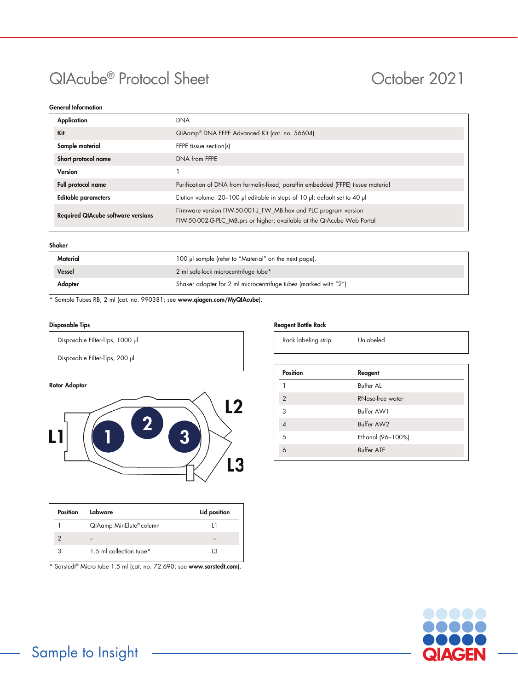# QIAcube<sup>®</sup> Protocol Sheet **October 2021**

# General Information

| Application                               | <b>DNA</b>                                                                                                                                |  |
|-------------------------------------------|-------------------------------------------------------------------------------------------------------------------------------------------|--|
| Kit                                       | QIAamp® DNA FFPE Advanced Kit (cat. no. 56604)                                                                                            |  |
| Sample material                           | FFPE tissue section(s)                                                                                                                    |  |
| Short protocol name                       | DNA from FFPE                                                                                                                             |  |
| Version                                   |                                                                                                                                           |  |
| Full protocol name                        | Purification of DNA from formalin-fixed, paraffin embedded (FFPE) tissue material                                                         |  |
| <b>Editable parameters</b>                | Elution volume: 20-100 µl editable in steps of 10 µl; default set to 40 µl                                                                |  |
| <b>Required QIAcube software versions</b> | Firmware version FIW-50-001-J_FW_MB.hex and PLC program version<br>FIW-50-002-G-PLC_MB.prs or higher; available at the QIAcube Web Portal |  |

# Shaker

| Material | 100 µl sample (refer to "Material" on the next page).           |  |
|----------|-----------------------------------------------------------------|--|
| Vessel   | 2 ml safe-lock microcentrifuge tube*                            |  |
| Adapter  | Shaker adapter for 2 ml microcentrifuge tubes (marked with "2") |  |

\* Sample Tubes RB, 2 ml (cat. no. 990381; see www.qiagen.com/MyQIAcube).

# Disposable Tips

Disposable Filter-Tips, 1000 μl

Disposable Filter-Tips, 200 µl

# Rotor Adaptor



| Position | Labware                 | Lid position |
|----------|-------------------------|--------------|
|          | QIAamp MinElute® column |              |
|          |                         |              |
|          | 1.5 ml collection tube* | L3           |

\* Sarstedt® Micro tube 1.5 ml (cat. no. 72.690; see [www.sarstedt.com](http://www.sarstedt.com/)).

# Reagent Bottle Rack

| Rack labeling strip |  |
|---------------------|--|
|---------------------|--|

Unlabeled

| <b>Position</b>         | Reagent                 |  |
|-------------------------|-------------------------|--|
|                         | <b>Buffer AL</b>        |  |
| $\overline{2}$          | <b>RNase-free water</b> |  |
| 3                       | Buffer AW1              |  |
| $\overline{\mathbf{A}}$ | Buffer AW2              |  |
| 5                       | Ethanol (96-100%)       |  |
|                         | <b>Buffer ATE</b>       |  |